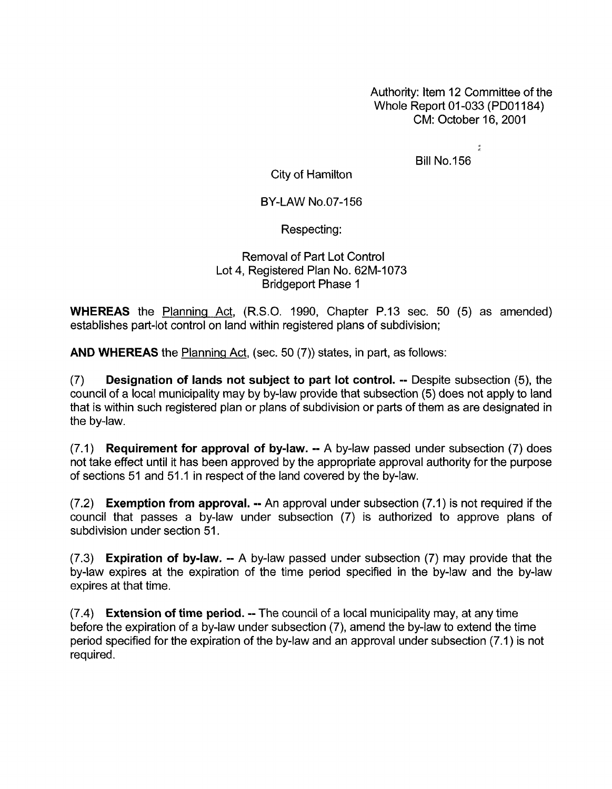Authority: Item 12 Committee of the Whole Report 01-033 (PD01184) CM: October 16,2001

 $\frac{1}{2}$ 

Bill No.156

City of Hamilton

## BY-LAW NO.07-156

Respecting:

## Removal of Part Lot Control Lot 4, Registered Plan No. 62M-1073 Bridgeport Phase 1

**WHEREAS** the Planning Act, (R.S.O. 1990, Chapter P.13 sec. 50 (5) as amended) establishes part-lot control on land within registered plans of subdivision;

**AND WHEREAS** the Planning Act, (sec. 50 (7)) states, in part, as follows:

(7) **Designation of lands not subject to part lot control.** -- Despite subsection *(5),* the council of a local municipality may by by-law provide that subsection (5) does not apply to land that is within such registered plan or plans of subdivision or parts of them as are designated in the by-law.

(7.1) **Requirement for approval of by-law.** -- A by-law passed under subsection (7) does not take effect until it has been approved by the appropriate approval authority for the purpose of sections 51 and 51.1 in respect of the land covered by the by-law.

(7.2) **Exemption from approval.** -- An approval under subsection (7.1) is not required if the council that passes a by-law under subsection (7) is authorized to approve plans of subdivision under section 51.

(7.3) **Expiration of bylaw.** -- A by-law passed under subsection (7) may provide that the by-law expires at the expiration of the time period specified in the by-law and the by-law expires at that time.

(7.4) **Extension of time period. --** The council of a local municipality may, at any time before the expiration of a by-law under subsection (7), amend the by-law to extend the time period specified for the expiration of the by-law and an approval under subsection (7.1) is not required.